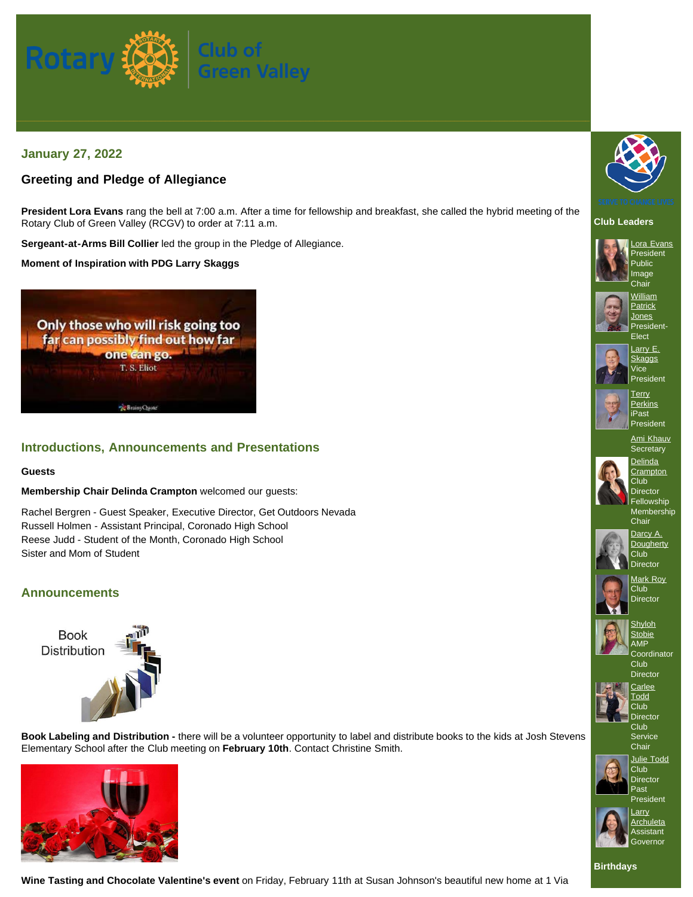

# **January 27, 2022**

# **Greeting and Pledge of Allegiance**

**President Lora Evans** rang the bell at 7:00 a.m. After a time for fellowship and breakfast, she called the hybrid meeting of the Rotary Club of Green Valley (RCGV) to order at 7:11 a.m.

**Sergeant-at-Arms Bill Collier** led the group in the Pledge of Allegiance.

**Moment of Inspiration with PDG Larry Skaggs**



### **Introductions, Announcements and Presentations**

### **Guests**

### **Membership Chair Delinda Crampton** welcomed our guests:

Rachel Bergren - Guest Speaker, Executive Director, Get Outdoors Nevada Russell Holmen - Assistant Principal, Coronado High School Reese Judd - Student of the Month, Coronado High School Sister and Mom of Student

### **Announcements**



**Book Labeling and Distribution -** there will be a volunteer opportunity to label and distribute books to the kids at Josh Stevens Elementary School after the Club meeting on **February 10th**. Contact Christine Smith.







**Club Leaders**











**[Crampton](https://www.ismyrotaryclub.org/EMailer.cfm?ID=800457929)** Club<sub></sub> **Director** Fellowship Membership

Chair





**Club** 



**[Stobie](https://www.ismyrotaryclub.org/EMailer.cfm?ID=800703760)** AMP **Coordinator** 



Club **Director Club** Service

Chair



Club Director Past President



**[Larry](https://www.ismyrotaryclub.org/EMailer.cfm?ID=800430825) [Archuleta](https://www.ismyrotaryclub.org/EMailer.cfm?ID=800430825)** Assistant **Governor** 

**Wine Tasting and Chocolate Valentine's event** on Friday, February 11th at Susan Johnson's beautiful new home at 1 Via

**Birthdays**









Club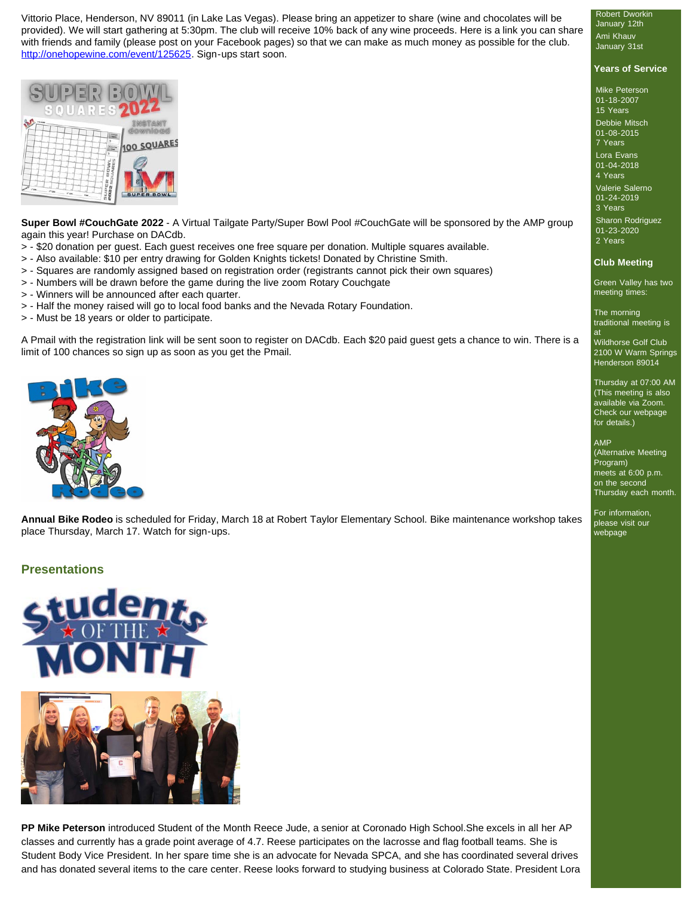Vittorio Place, Henderson, NV 89011 (in Lake Las Vegas). Please bring an appetizer to share (wine and chocolates will be provided). We will start gathering at 5:30pm. The club will receive 10% back of any wine proceeds. Here is a link you can share with friends and family (please post on your Facebook pages) so that we can make as much money as possible for the club. <http://onehopewine.com/event/125625>. Sign-ups start soon.



**Super Bowl #CouchGate 2022** - A Virtual Tailgate Party/Super Bowl Pool #CouchGate will be sponsored by the AMP group again this year! Purchase on DACdb.

- > \$20 donation per guest. Each guest receives one free square per donation. Multiple squares available.
- > Also available: \$10 per entry drawing for Golden Knights tickets! Donated by Christine Smith.
- > Squares are randomly assigned based on registration order (registrants cannot pick their own squares)
- > Numbers will be drawn before the game during the live zoom Rotary Couchgate
- > Winners will be announced after each quarter.
- > Half the money raised will go to local food banks and the Nevada Rotary Foundation.
- > Must be 18 years or older to participate.

A Pmail with the registration link will be sent soon to register on DACdb. Each \$20 paid guest gets a chance to win. There is a limit of 100 chances so sign up as soon as you get the Pmail.



**Annual Bike Rodeo** is scheduled for Friday, March 18 at Robert Taylor Elementary School. Bike maintenance workshop takes place Thursday, March 17. Watch for sign-ups.

### **Presentations**



**PP Mike Peterson** introduced Student of the Month Reece Jude, a senior at Coronado High School.She excels in all her AP classes and currently has a grade point average of 4.7. Reese participates on the lacrosse and flag football teams. She is Student Body Vice President. In her spare time she is an advocate for Nevada SPCA, and she has coordinated several drives and has donated several items to the care center. Reese looks forward to studying business at Colorado State. President Lora

Robert Dworkin January 12th Ami Khauv January 31st

### **Years of Service**

Mike Peterson 01-18-2007 15 Years Debbie Mitsch 01-08-2015 7 Years Lora Evans 01-04-2018 4 Years Valerie Salerno 01-24-2019 3 Years Sharon Rodriguez 01-23-2020 2 Years

#### **Club Meeting**

Green Valley has two meeting times:

The morning traditional meeting is

at Wildhorse Golf Club 2100 W Warm Springs Henderson 89014

Thursday at 07:00 AM (This meeting is also available via Zoom. Check our webpage for details.)

#### AMP

(Alternative Meeting Program) meets at 6:00 p.m. on the second Thursday each month.

For information, please visit our webpage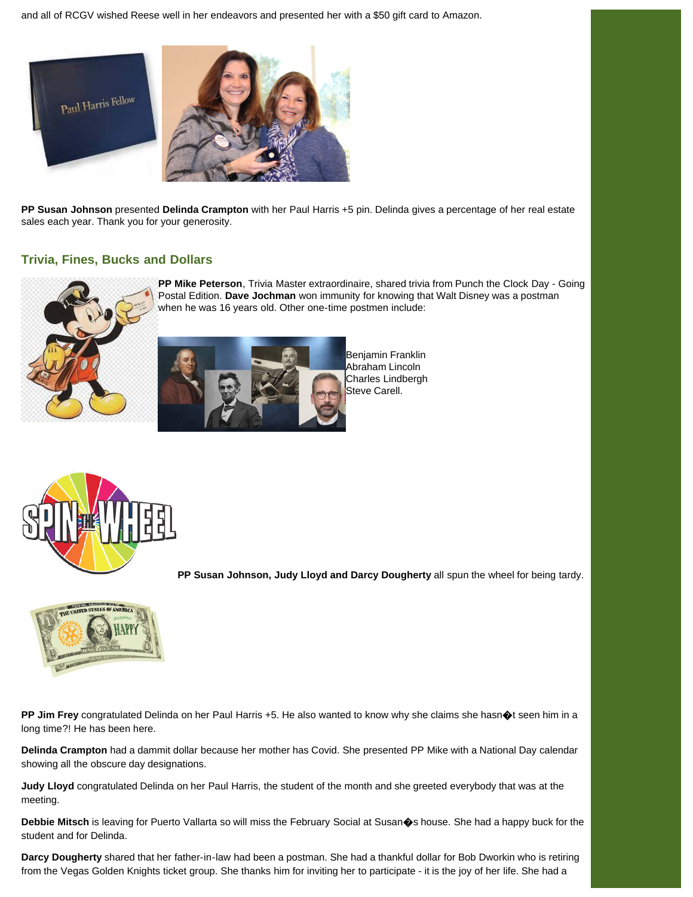and all of RCGV wished Reese well in her endeavors and presented her with a \$50 gift card to Amazon.



**PP Susan Johnson** presented **Delinda Crampton** with her Paul Harris +5 pin. Delinda gives a percentage of her real estate sales each year. Thank you for your generosity.

### **Trivia, Fines, Bucks and Dollars**



**PP Mike Peterson**, Trivia Master extraordinaire, shared trivia from Punch the Clock Day - Going Postal Edition. **Dave Jochman** won immunity for knowing that Walt Disney was a postman when he was 16 years old. Other one-time postmen include:



Benjamin Franklin Abraham Lincoln Charles Lindbergh Steve Carell.



**PP Susan Johnson, Judy Lloyd and Darcy Dougherty** all spun the wheel for being tardy.



**PP Jim Frey** congratulated Delinda on her Paul Harris +5. He also wanted to know why she claims she hasn�t seen him in a long time?! He has been here.

**Delinda Crampton** had a dammit dollar because her mother has Covid. She presented PP Mike with a National Day calendar showing all the obscure day designations.

**Judy Lloyd** congratulated Delinda on her Paul Harris, the student of the month and she greeted everybody that was at the meeting.

**Debbie Mitsch** is leaving for Puerto Vallarta so will miss the February Social at Susan�s house. She had a happy buck for the student and for Delinda.

**Darcy Dougherty** shared that her father-in-law had been a postman. She had a thankful dollar for Bob Dworkin who is retiring from the Vegas Golden Knights ticket group. She thanks him for inviting her to participate - it is the joy of her life. She had a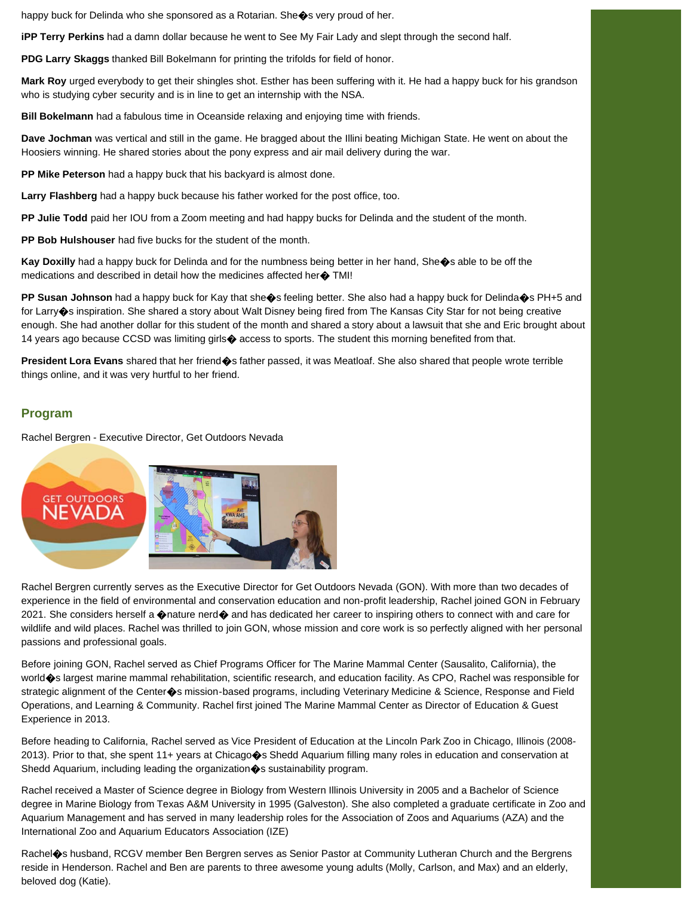happy buck for Delinda who she sponsored as a Rotarian. She $\bullet$ s very proud of her.

**iPP Terry Perkins** had a damn dollar because he went to See My Fair Lady and slept through the second half.

**PDG Larry Skaggs** thanked Bill Bokelmann for printing the trifolds for field of honor.

**Mark Roy** urged everybody to get their shingles shot. Esther has been suffering with it. He had a happy buck for his grandson who is studying cyber security and is in line to get an internship with the NSA.

**Bill Bokelmann** had a fabulous time in Oceanside relaxing and enjoying time with friends.

**Dave Jochman** was vertical and still in the game. He bragged about the Illini beating Michigan State. He went on about the Hoosiers winning. He shared stories about the pony express and air mail delivery during the war.

**PP Mike Peterson** had a happy buck that his backyard is almost done.

**Larry Flashberg** had a happy buck because his father worked for the post office, too.

**PP Julie Todd** paid her IOU from a Zoom meeting and had happy bucks for Delinda and the student of the month.

**PP Bob Hulshouser** had five bucks for the student of the month.

**Kay Doxilly** had a happy buck for Delinda and for the numbness being better in her hand, She�s able to be off the medications and described in detail how the medicines affected her $\spadesuit$  TMI!

**PP Susan Johnson** had a happy buck for Kay that she�s feeling better. She also had a happy buck for Delinda�s PH+5 and for Larry�s inspiration. She shared a story about Walt Disney being fired from The Kansas City Star for not being creative enough. She had another dollar for this student of the month and shared a story about a lawsuit that she and Eric brought about 14 years ago because CCSD was limiting girls $\bigcirc$  access to sports. The student this morning benefited from that.

**President Lora Evans** shared that her friend�s father passed, it was Meatloaf. She also shared that people wrote terrible things online, and it was very hurtful to her friend.

### **Program**

Rachel Bergren - Executive Director, Get Outdoors Nevada



Rachel Bergren currently serves as the Executive Director for Get Outdoors Nevada (GON). With more than two decades of experience in the field of environmental and conservation education and non-profit leadership, Rachel joined GON in February 2021. She considers herself a  $\circledast$ nature nerd $\circledast$  and has dedicated her career to inspiring others to connect with and care for wildlife and wild places. Rachel was thrilled to join GON, whose mission and core work is so perfectly aligned with her personal passions and professional goals.

Before joining GON, Rachel served as Chief Programs Officer for The Marine Mammal Center (Sausalito, California), the world�s largest marine mammal rehabilitation, scientific research, and education facility. As CPO, Rachel was responsible for strategic alignment of the Center $\clubsuit$ s mission-based programs, including Veterinary Medicine & Science, Response and Field Operations, and Learning & Community. Rachel first joined The Marine Mammal Center as Director of Education & Guest Experience in 2013.

Before heading to California, Rachel served as Vice President of Education at the Lincoln Park Zoo in Chicago, Illinois (2008- 2013). Prior to that, she spent 11+ years at Chicago�s Shedd Aquarium filling many roles in education and conservation at Shedd Aquarium, including leading the organization  $\diamond$ s sustainability program.

Rachel received a Master of Science degree in Biology from Western Illinois University in 2005 and a Bachelor of Science degree in Marine Biology from Texas A&M University in 1995 (Galveston). She also completed a graduate certificate in Zoo and Aquarium Management and has served in many leadership roles for the Association of Zoos and Aquariums (AZA) and the International Zoo and Aquarium Educators Association (IZE)

Rachel $\bullet$ s husband, RCGV member Ben Bergren serves as Senior Pastor at Community Lutheran Church and the Bergrens reside in Henderson. Rachel and Ben are parents to three awesome young adults (Molly, Carlson, and Max) and an elderly, beloved dog (Katie).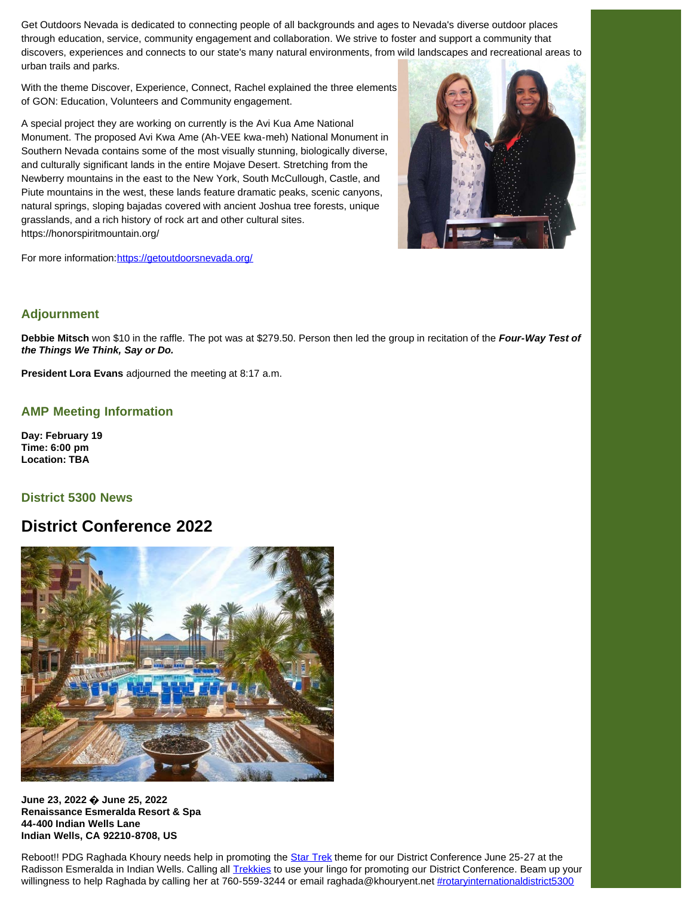Get Outdoors Nevada is dedicated to connecting people of all backgrounds and ages to Nevada's diverse outdoor places through education, service, community engagement and collaboration. We strive to foster and support a community that discovers, experiences and connects to our state's many natural environments, from wild landscapes and recreational areas to urban trails and parks.

With the theme Discover, Experience, Connect, Rachel explained the three elements of GON: Education, Volunteers and Community engagement.

A special project they are working on currently is the Avi Kua Ame National Monument. The proposed Avi Kwa Ame (Ah-VEE kwa-meh) National Monument in Southern Nevada contains some of the most visually stunning, biologically diverse, and culturally significant lands in the entire Mojave Desert. Stretching from the Newberry mountains in the east to the New York, South McCullough, Castle, and Piute mountains in the west, these lands feature dramatic peaks, scenic canyons, natural springs, sloping bajadas covered with ancient Joshua tree forests, unique grasslands, and a rich history of rock art and other cultural sites. https://honorspiritmountain.org/



For more information: https://getoutdoorsnevada.org/

## **Adjournment**

**Debbie Mitsch** won \$10 in the raffle. The pot was at \$279.50. Person then led the group in recitation of the *Four-Way Test of the Things We Think, Say or Do.*

**President Lora Evans** adjourned the meeting at 8:17 a.m.

## **AMP Meeting Information**

**Day: February 19 Time: 6:00 pm Location: TBA**

### **District 5300 News**

# **District Conference 2022**



**June 23, 2022 � June 25, 2022 Renaissance Esmeralda Resort & Spa 44-400 Indian Wells Lane Indian Wells, CA 92210-8708, US**

Reboot!! PDG Raghada Khoury needs help in promoting the [Star Trek](https://www.facebook.com/StarTrek/?__cft__[0]=AZWvCcY78Y_M_67p6D6rp8ImgJjcMphH7eROWv9GF3ritAzZ4udZ0_GjW7LGdP3_nZLkLe7z-R3tHzqFEkQwo78xGj1wigh0N_t1D7jwVnrdIyr2idCHeqPmBtPGuSmcWHIJgsS_ZWD6cyf9UoVVod31FTJICQhXsofgbZla6Fh25u51hpA6Cf_B1zWIXQedLWw&__tn__=kK-R) theme for our District Conference June 25-27 at the Radisson Esmeralda in Indian Wells. Calling all [Trekkies](https://www.facebook.com/TrekkieLife/?__cft__[0]=AZWvCcY78Y_M_67p6D6rp8ImgJjcMphH7eROWv9GF3ritAzZ4udZ0_GjW7LGdP3_nZLkLe7z-R3tHzqFEkQwo78xGj1wigh0N_t1D7jwVnrdIyr2idCHeqPmBtPGuSmcWHIJgsS_ZWD6cyf9UoVVod31FTJICQhXsofgbZla6Fh25u51hpA6Cf_B1zWIXQedLWw&__tn__=kK-R) to use your lingo for promoting our District Conference. Beam up your willingness to help Raghada by calling her at 760-559-3244 or email raghada@khouryent.net [#rotaryinternationaldistrict5300](https://www.facebook.com/hashtag/rotaryinternationaldistrict5300?__eep__=6&__cft__[0]=AZWvCcY78Y_M_67p6D6rp8ImgJjcMphH7eROWv9GF3ritAzZ4udZ0_GjW7LGdP3_nZLkLe7z-R3tHzqFEkQwo78xGj1wigh0N_t1D7jwVnrdIyr2idCHeqPmBtPGuSmcWHIJgsS_ZWD6cyf9UoVVod31FTJICQhXsofgbZla6Fh25u51hpA6Cf_B1zWIXQedLWw&__tn__=*NK-R)